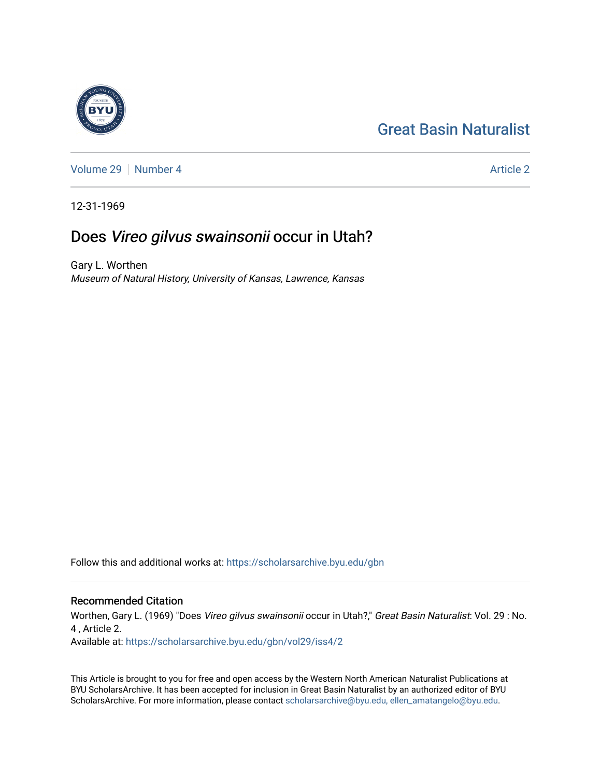# [Great Basin Naturalist](https://scholarsarchive.byu.edu/gbn)

[Volume 29](https://scholarsarchive.byu.edu/gbn/vol29) [Number 4](https://scholarsarchive.byu.edu/gbn/vol29/iss4) [Article 2](https://scholarsarchive.byu.edu/gbn/vol29/iss4/2) Article 2

12-31-1969

## Does Vireo gilvus swainsonii occur in Utah?

Gary L. Worthen Museum of Natural History, University of Kansas, Lawrence, Kansas

Follow this and additional works at: [https://scholarsarchive.byu.edu/gbn](https://scholarsarchive.byu.edu/gbn?utm_source=scholarsarchive.byu.edu%2Fgbn%2Fvol29%2Fiss4%2F2&utm_medium=PDF&utm_campaign=PDFCoverPages) 

### Recommended Citation

Worthen, Gary L. (1969) "Does Vireo gilvus swainsonii occur in Utah?," Great Basin Naturalist: Vol. 29 : No. 4 , Article 2. Available at: [https://scholarsarchive.byu.edu/gbn/vol29/iss4/2](https://scholarsarchive.byu.edu/gbn/vol29/iss4/2?utm_source=scholarsarchive.byu.edu%2Fgbn%2Fvol29%2Fiss4%2F2&utm_medium=PDF&utm_campaign=PDFCoverPages)

This Article is brought to you for free and open access by the Western North American Naturalist Publications at BYU ScholarsArchive. It has been accepted for inclusion in Great Basin Naturalist by an authorized editor of BYU ScholarsArchive. For more information, please contact [scholarsarchive@byu.edu, ellen\\_amatangelo@byu.edu.](mailto:scholarsarchive@byu.edu,%20ellen_amatangelo@byu.edu)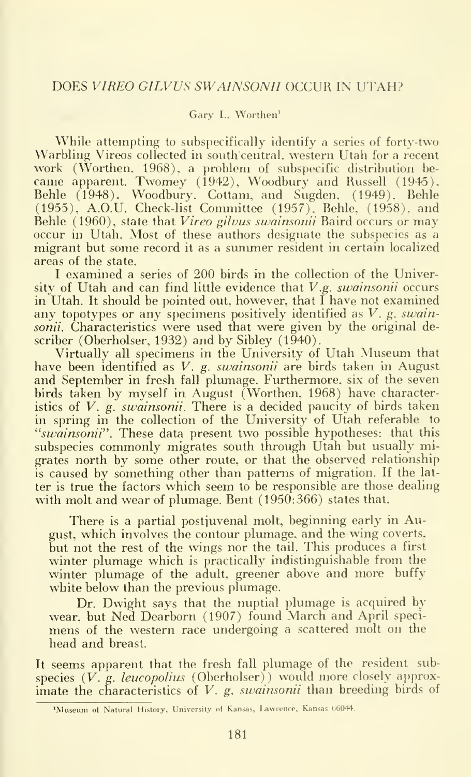#### Gary L. Worthen'

While attempting to subspecifically identify a series of forty-two Warbling Vireos collected in south central, western Utah for a recent work (Worthen, 1968). a problem of subspecific distribution be came apparent. Twomey (1942), Woodbury and Russell (1945), Behle (1948), Woodbury, Cottam, and Sugden, (1949). Behle (1955), A.O.U. Check-list Committee (1957). Behle. (1958). and Behle (1960), state that *Vireo gilvus swainsonii* Baird occurs or may occur in Utah. Most of these authors designate the subspecies as a migrant but some record it as a summer resident in certain localized areas of the state.

<sup>I</sup> examined a series of 200 birds in the collection of the University of Utah and can find little evidence that  $V.g.$  swainsonii occurs in Utah. It should be pointed out, however, that <sup>I</sup> have not examined any topotypes or any specimens positively identified as V. g. swainsonii. Characteristics were used that were given by the original describer (Oberholser, 1932) and by Sibley (1940).

Virtually all specimens in the University of Utah Museum that have been identified as V. g. swainsonii are birds taken in August and September in fresh fall plumage. Furthermore, six of the seven birds taken by myself in August (Worthen, 1968) have characteristics of  $V$ ,  $g$ , *swainsonii*. There is a decided paucity of birds taken in spring in the collection of the University of Utah referable to "swainsonii". These data present two possible hypotheses: that this subspecies commonly migrates south through Utah but usually migrates north by some other route, or that the observed relationship is caused by something other than patterns of migration. If the lat ter is true the factors which seem to be responsible are those dealing with molt and wear of plumage. Bent (1950:366) states that,

There is <sup>a</sup> partial postjuvenal molt, beginning early in August, which involves the contour plumage, and the wing coverts, but not the rest of the wings nor the tail. This produces a first winter plumage which is practically indistinguishable from the winter plumage of the adult, greener above and more buffy white below than the previous plumage.

Dr. Dwight says that the nuptial plumage is acquired by wear, but Ned Dearborn (1907) found March and April speci mens of the western race undergoing a scattered molt on the head and breast.

It seems apparent that the fresh fall plumage of the resident subspecies  $(V, g. leucopolius$  (Oberholser)) would more closely approximate the characteristics of V. g. swainsonii than breeding birds of

<sup>&#</sup>x27;Museum ol Natural History, University of Kansas, Lawrence, Kansas 66044